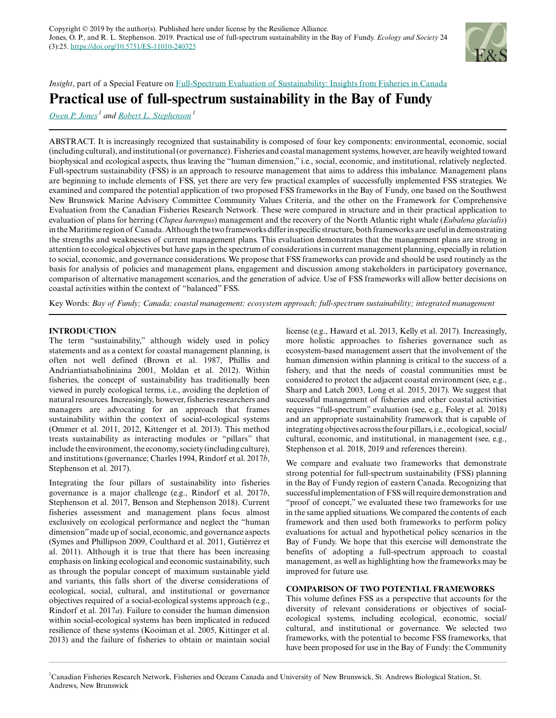

*Insight*, part of a Special Feature on [Full-Spectrum Evaluation of Sustainability: Insights from Fisheries in Canada](https://www.ecologyandsociety.org/viewissue.php?sf=132)

# **Practical use of full-spectrum sustainability in the Bay of Fundy**

*[Owen P. Jones](mailto:opjones12@gmail.com)<sup>1</sup> and [Robert L. Stephenson](mailto:Robert.Stephenson@dfo-mpo.gc.ca)<sup>1</sup>*

ABSTRACT. It is increasingly recognized that sustainability is composed of four key components: environmental, economic, social (including cultural), and institutional (or governance). Fisheries and coastal management systems, however, are heavily weighted toward biophysical and ecological aspects, thus leaving the "human dimension," i.e., social, economic, and institutional, relatively neglected. Full-spectrum sustainability (FSS) is an approach to resource management that aims to address this imbalance. Management plans are beginning to include elements of FSS, yet there are very few practical examples of successfully implemented FSS strategies. We examined and compared the potential application of two proposed FSS frameworks in the Bay of Fundy, one based on the Southwest New Brunswick Marine Advisory Committee Community Values Criteria, and the other on the Framework for Comprehensive Evaluation from the Canadian Fisheries Research Network. These were compared in structure and in their practical application to evaluation of plans for herring (*Clupea harengus*) management and the recovery of the North Atlantic right whale (*Eubalena glacialis*) in the Maritime region of Canada. Although the two frameworks differ in specific structure, both frameworks are useful in demonstrating the strengths and weaknesses of current management plans. This evaluation demonstrates that the management plans are strong in attention to ecological objectives but have gaps in the spectrum of considerations in current management planning, especially in relation to social, economic, and governance considerations. We propose that FSS frameworks can provide and should be used routinely as the basis for analysis of policies and management plans, engagement and discussion among stakeholders in participatory governance, comparison of alternative management scenarios, and the generation of advice. Use of FSS frameworks will allow better decisions on coastal activities within the context of "balanced" FSS.

Key Words: *Bay of Fundy; Canada; coastal management; ecosystem approach; full-spectrum sustainability; integrated management*

## **INTRODUCTION**

The term "sustainability," although widely used in policy statements and as a context for coastal management planning, is often not well defined (Brown et al. 1987, Phillis and Andriantiatsaholiniaina 2001, Moldan et al. 2012). Within fisheries, the concept of sustainability has traditionally been viewed in purely ecological terms, i.e., avoiding the depletion of natural resources. Increasingly, however, fisheries researchers and managers are advocating for an approach that frames sustainability within the context of social-ecological systems (Ommer et al. 2011, 2012, Kittenger et al. 2013). This method treats sustainability as interacting modules or "pillars" that include the environment, the economy, society (including culture), and institutions (governance; Charles 1994, Rindorf et al. 2017*b*, Stephenson et al. 2017).

Integrating the four pillars of sustainability into fisheries governance is a major challenge (e.g., Rindorf et al. 2017*b*, Stephenson et al. 2017, Benson and Stephenson 2018). Current fisheries assessment and management plans focus almost exclusively on ecological performance and neglect the "human dimension" made up of social, economic, and governance aspects (Symes and Phillipson 2009, Coulthard et al. 2011, Gutiérrez et al. 2011). Although it is true that there has been increasing emphasis on linking ecological and economic sustainability, such as through the popular concept of maximum sustainable yield and variants, this falls short of the diverse considerations of ecological, social, cultural, and institutional or governance objectives required of a social-ecological systems approach (e.g., Rindorf et al. 2017*a*). Failure to consider the human dimension within social-ecological systems has been implicated in reduced resilience of these systems (Kooiman et al. 2005, Kittinger et al. 2013) and the failure of fisheries to obtain or maintain social

license (e.g., Haward et al. 2013, Kelly et al. 2017). Increasingly, more holistic approaches to fisheries governance such as ecosystem-based management assert that the involvement of the human dimension within planning is critical to the success of a fishery, and that the needs of coastal communities must be considered to protect the adjacent coastal environment (see, e.g., Sharp and Latch 2003, Long et al. 2015, 2017). We suggest that successful management of fisheries and other coastal activities requires "full-spectrum" evaluation (see, e.g., Foley et al. 2018) and an appropriate sustainability framework that is capable of integrating objectives across the four pillars, i.e., ecological, social/ cultural, economic, and institutional, in management (see, e.g., Stephenson et al. 2018, 2019 and references therein).

We compare and evaluate two frameworks that demonstrate strong potential for full-spectrum sustainability (FSS) planning in the Bay of Fundy region of eastern Canada. Recognizing that successful implementation of FSS will require demonstration and "proof of concept," we evaluated these two frameworks for use in the same applied situations. We compared the contents of each framework and then used both frameworks to perform policy evaluations for actual and hypothetical policy scenarios in the Bay of Fundy. We hope that this exercise will demonstrate the benefits of adopting a full-spectrum approach to coastal management, as well as highlighting how the frameworks may be improved for future use.

#### **COMPARISON OF TWO POTENTIAL FRAMEWORKS**

This volume defines FSS as a perspective that accounts for the diversity of relevant considerations or objectives of socialecological systems, including ecological, economic, social/ cultural, and institutional or governance. We selected two frameworks, with the potential to become FSS frameworks, that have been proposed for use in the Bay of Fundy: the Community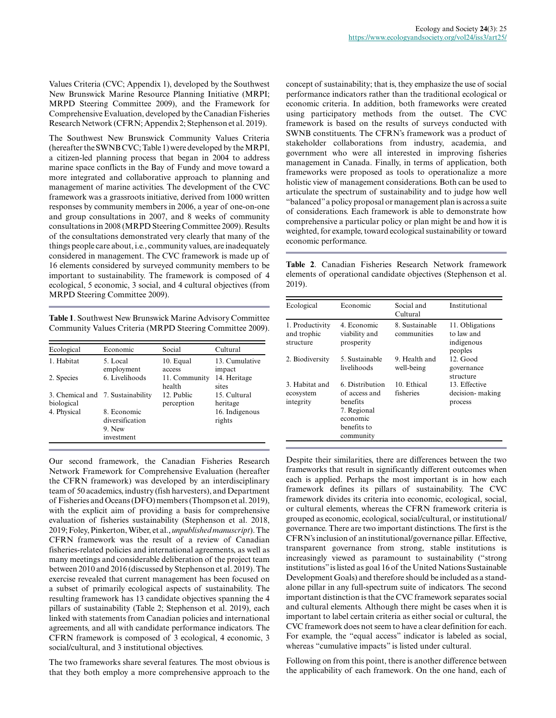Values Criteria (CVC; Appendix 1), developed by the Southwest New Brunswick Marine Resource Planning Initiative (MRPI; MRPD Steering Committee 2009), and the Framework for Comprehensive Evaluation, developed by the Canadian Fisheries Research Network (CFRN; Appendix 2; Stephenson et al. 2019).

The Southwest New Brunswick Community Values Criteria (hereafter the SWNB CVC; Table 1) were developed by the MRPI, a citizen-led planning process that began in 2004 to address marine space conflicts in the Bay of Fundy and move toward a more integrated and collaborative approach to planning and management of marine activities. The development of the CVC framework was a grassroots initiative, derived from 1000 written responses by community members in 2006, a year of one-on-one and group consultations in 2007, and 8 weeks of community consultations in 2008 (MRPD Steering Committee 2009). Results of the consultations demonstrated very clearly that many of the things people care about, i.e., community values, are inadequately considered in management. The CVC framework is made up of 16 elements considered by surveyed community members to be important to sustainability. The framework is composed of 4 ecological, 5 economic, 3 social, and 4 cultural objectives (from MRPD Steering Committee 2009).

**Table 1**. Southwest New Brunswick Marine Advisory Committee Community Values Criteria (MRPD Steering Committee 2009).

| Ecological  | Economic                                               | Social                   | Cultural                 |
|-------------|--------------------------------------------------------|--------------------------|--------------------------|
| 1. Habitat  | 5. Local<br>employment                                 | 10. Equal<br>access      | 13. Cumulative<br>impact |
| 2. Species  | 6. Livelihoods                                         | 11. Community<br>health  | 14. Heritage<br>sites    |
| biological  | 3. Chemical and 7. Sustainability                      | 12. Public<br>perception | 15. Cultural<br>heritage |
| 4. Physical | 8. Economic<br>diversification<br>9. New<br>investment |                          | 16. Indigenous<br>rights |

Our second framework, the Canadian Fisheries Research Network Framework for Comprehensive Evaluation (hereafter the CFRN framework) was developed by an interdisciplinary team of 50 academics, industry (fish harvesters), and Department of Fisheries and Oceans (DFO) members (Thompson et al. 2019), with the explicit aim of providing a basis for comprehensive evaluation of fisheries sustainability (Stephenson et al. 2018, 2019; Foley, Pinkerton, Wiber, et al., *unpublished manuscript*). The CFRN framework was the result of a review of Canadian fisheries-related policies and international agreements, as well as many meetings and considerable deliberation of the project team between 2010 and 2016 (discussed by Stephenson et al. 2019). The exercise revealed that current management has been focused on a subset of primarily ecological aspects of sustainability. The resulting framework has 13 candidate objectives spanning the 4 pillars of sustainability (Table 2; Stephenson et al. 2019), each linked with statements from Canadian policies and international agreements, and all with candidate performance indicators. The CFRN framework is composed of 3 ecological, 4 economic, 3 social/cultural, and 3 institutional objectives.

The two frameworks share several features. The most obvious is that they both employ a more comprehensive approach to the concept of sustainability; that is, they emphasize the use of social performance indicators rather than the traditional ecological or economic criteria. In addition, both frameworks were created using participatory methods from the outset. The CVC framework is based on the results of surveys conducted with SWNB constituents. The CFRN's framework was a product of stakeholder collaborations from industry, academia, and government who were all interested in improving fisheries management in Canada. Finally, in terms of application, both frameworks were proposed as tools to operationalize a more holistic view of management considerations. Both can be used to articulate the spectrum of sustainability and to judge how well "balanced" a policy proposal or management plan is across a suite of considerations. Each framework is able to demonstrate how comprehensive a particular policy or plan might be and how it is weighted, for example, toward ecological sustainability or toward economic performance.

**Table 2**. Canadian Fisheries Research Network framework elements of operational candidate objectives (Stephenson et al. 2019).

| Ecological                                  | Economic                                                                                            | Social and<br>Cultural        | Institutional                                          |
|---------------------------------------------|-----------------------------------------------------------------------------------------------------|-------------------------------|--------------------------------------------------------|
| 1. Productivity<br>and trophic<br>structure | 4. Economic<br>viability and<br>prosperity                                                          | 8. Sustainable<br>communities | 11. Obligations<br>to law and<br>indigenous<br>peoples |
| 2. Biodiversity                             | 5. Sustainable<br>livelihoods                                                                       | 9 Health and<br>well-being    | $12.$ Good<br>governance<br>structure                  |
| 3. Habitat and<br>ecosystem<br>integrity    | 6. Distribution<br>of access and<br>benefits<br>7. Regional<br>economic<br>benefits to<br>community | 10. Ethical<br>fisheries      | 13. Effective<br>decision-making<br>process            |

Despite their similarities, there are differences between the two frameworks that result in significantly different outcomes when each is applied. Perhaps the most important is in how each framework defines its pillars of sustainability. The CVC framework divides its criteria into economic, ecological, social, or cultural elements, whereas the CFRN framework criteria is grouped as economic, ecological, social/cultural, or institutional/ governance. There are two important distinctions. The first is the CFRN's inclusion of an institutional/governance pillar. Effective, transparent governance from strong, stable institutions is increasingly viewed as paramount to sustainability ("strong institutions" is listed as goal 16 of the United Nations Sustainable Development Goals) and therefore should be included as a standalone pillar in any full-spectrum suite of indicators. The second important distinction is that the CVC framework separates social and cultural elements. Although there might be cases when it is important to label certain criteria as either social or cultural, the CVC framework does not seem to have a clear definition for each. For example, the "equal access" indicator is labeled as social, whereas "cumulative impacts" is listed under cultural.

Following on from this point, there is another difference between the applicability of each framework. On the one hand, each of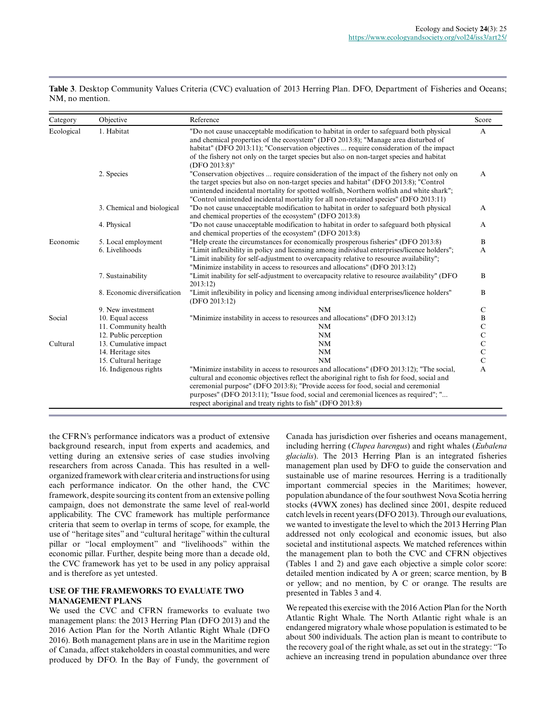**Table 3**. Desktop Community Values Criteria (CVC) evaluation of 2013 Herring Plan. DFO, Department of Fisheries and Oceans; NM, no mention.

| Category   | Objective                   | Reference                                                                                                                                                                                                                                                                                                                                                                                                                          | Score          |
|------------|-----------------------------|------------------------------------------------------------------------------------------------------------------------------------------------------------------------------------------------------------------------------------------------------------------------------------------------------------------------------------------------------------------------------------------------------------------------------------|----------------|
| Ecological | 1. Habitat                  | "Do not cause unacceptable modification to habitat in order to safeguard both physical<br>and chemical properties of the ecosystem" (DFO 2013:8); "Manage area disturbed of<br>habitat" (DFO 2013:11); "Conservation objectives  require consideration of the impact<br>of the fishery not only on the target species but also on non-target species and habitat<br>(DFO 2013:8)"                                                  | A              |
|            | 2. Species                  | "Conservation objectives  require consideration of the impact of the fishery not only on<br>the target species but also on non-target species and habitat" (DFO 2013:8); "Control<br>unintended incidental mortality for spotted wolfish, Northern wolfish and white shark";<br>"Control unintended incidental mortality for all non-retained species" (DFO 2013:11)                                                               | $\mathsf{A}$   |
|            | 3. Chemical and biological  | "Do not cause unacceptable modification to habitat in order to safeguard both physical<br>and chemical properties of the ecosystem" (DFO 2013:8)                                                                                                                                                                                                                                                                                   | A              |
|            | 4. Physical                 | "Do not cause unacceptable modification to habitat in order to safeguard both physical<br>and chemical properties of the ecosystem" (DFO 2013:8)                                                                                                                                                                                                                                                                                   | A              |
| Economic   | 5. Local employment         | "Help create the circumstances for economically prosperous fisheries" (DFO 2013:8)                                                                                                                                                                                                                                                                                                                                                 | B              |
|            | 6. Livelihoods              | "Limit inflexibility in policy and licensing among individual enterprises/licence holders";<br>"Limit inability for self-adjustment to overcapacity relative to resource availability";<br>"Minimize instability in access to resources and allocations" (DFO 2013:12)                                                                                                                                                             | A              |
|            | 7. Sustainability           | "Limit inability for self-adjustment to overcapacity relative to resource availability" (DFO<br>2013:12                                                                                                                                                                                                                                                                                                                            | $\bf{B}$       |
|            | 8. Economic diversification | "Limit inflexibility in policy and licensing among individual enterprises/licence holders"<br>(DFO 2013:12)                                                                                                                                                                                                                                                                                                                        | $\bf{B}$       |
|            | 9. New investment           | NM                                                                                                                                                                                                                                                                                                                                                                                                                                 | C              |
| Social     | 10. Equal access            | "Minimize instability in access to resources and allocations" (DFO 2013:12)                                                                                                                                                                                                                                                                                                                                                        | B              |
|            | 11. Community health        | NM                                                                                                                                                                                                                                                                                                                                                                                                                                 | $\mathbf C$    |
|            | 12. Public perception       | NM                                                                                                                                                                                                                                                                                                                                                                                                                                 | $\mathbf C$    |
| Cultural   | 13. Cumulative impact       | <b>NM</b>                                                                                                                                                                                                                                                                                                                                                                                                                          | $\mathbf{C}$   |
|            | 14. Heritage sites          | NM                                                                                                                                                                                                                                                                                                                                                                                                                                 | $\mathbf C$    |
|            | 15. Cultural heritage       | <b>NM</b>                                                                                                                                                                                                                                                                                                                                                                                                                          | $\overline{C}$ |
|            | 16. Indigenous rights       | "Minimize instability in access to resources and allocations" (DFO 2013:12); "The social,<br>cultural and economic objectives reflect the aboriginal right to fish for food, social and<br>ceremonial purpose" (DFO 2013:8); "Provide access for food, social and ceremonial<br>purposes" (DFO 2013:11); "Issue food, social and ceremonial licences as required"; "<br>respect aboriginal and treaty rights to fish" (DFO 2013:8) | A              |

the CFRN's performance indicators was a product of extensive background research, input from experts and academics, and vetting during an extensive series of case studies involving researchers from across Canada. This has resulted in a wellorganized framework with clear criteria and instructions for using each performance indicator. On the other hand, the CVC framework, despite sourcing its content from an extensive polling campaign, does not demonstrate the same level of real-world applicability. The CVC framework has multiple performance criteria that seem to overlap in terms of scope, for example, the use of "heritage sites" and "cultural heritage" within the cultural pillar or "local employment" and "livelihoods" within the economic pillar. Further, despite being more than a decade old, the CVC framework has yet to be used in any policy appraisal and is therefore as yet untested.

### **USE OF THE FRAMEWORKS TO EVALUATE TWO MANAGEMENT PLANS**

We used the CVC and CFRN frameworks to evaluate two management plans: the 2013 Herring Plan (DFO 2013) and the 2016 Action Plan for the North Atlantic Right Whale (DFO 2016). Both management plans are in use in the Maritime region of Canada, affect stakeholders in coastal communities, and were produced by DFO. In the Bay of Fundy, the government of

Canada has jurisdiction over fisheries and oceans management, including herring (*Clupea harengus*) and right whales (*Eubalena glacialis*). The 2013 Herring Plan is an integrated fisheries management plan used by DFO to guide the conservation and sustainable use of marine resources. Herring is a traditionally important commercial species in the Maritimes; however, population abundance of the four southwest Nova Scotia herring stocks (4VWX zones) has declined since 2001, despite reduced catch levels in recent years (DFO 2013). Through our evaluations, we wanted to investigate the level to which the 2013 Herring Plan addressed not only ecological and economic issues, but also societal and institutional aspects. We matched references within the management plan to both the CVC and CFRN objectives (Tables 1 and 2) and gave each objective a simple color score: detailed mention indicated by A or green; scarce mention, by B or yellow; and no mention, by C or orange. The results are presented in Tables 3 and 4.

We repeated this exercise with the 2016 Action Plan for the North Atlantic Right Whale. The North Atlantic right whale is an endangered migratory whale whose population is estimated to be about 500 individuals. The action plan is meant to contribute to the recovery goal of the right whale, as set out in the strategy: "To achieve an increasing trend in population abundance over three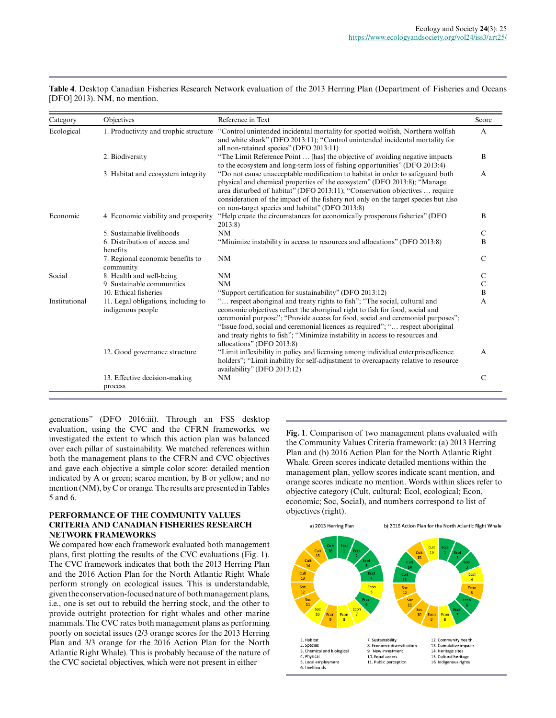**Table 4**. Desktop Canadian Fisheries Research Network evaluation of the 2013 Herring Plan (Department of Fisheries and Oceans [DFO] 2013). NM, no mention.

| Category      | Objectives                                               | Reference in Text                                                                                                                                                                                                                                                                                                                                                                                                                             | Score          |
|---------------|----------------------------------------------------------|-----------------------------------------------------------------------------------------------------------------------------------------------------------------------------------------------------------------------------------------------------------------------------------------------------------------------------------------------------------------------------------------------------------------------------------------------|----------------|
| Ecological    | 1. Productivity and trophic structure                    | "Control unintended incidental mortality for spotted wolfish, Northern wolfish<br>and white shark" (DFO 2013:11); "Control unintended incidental mortality for<br>all non-retained species" (DFO 2013:11)                                                                                                                                                                                                                                     | A              |
|               | 2. Biodiversity                                          | "The Limit Reference Point  [has] the objective of avoiding negative impacts<br>to the ecosystem and long-term loss of fishing opportunities" (DFO 2013:4)                                                                                                                                                                                                                                                                                    | B              |
|               | 3. Habitat and ecosystem integrity                       | "Do not cause unacceptable modification to habitat in order to safeguard both<br>physical and chemical properties of the ecosystem" (DFO 2013:8); "Manage<br>area disturbed of habitat" (DFO 2013:11); "Conservation objectives  require<br>consideration of the impact of the fishery not only on the target species but also<br>on non-target species and habitat" (DFO 2013:8)                                                             | $\mathsf{A}$   |
| Economic      | 4. Economic viability and prosperity                     | "Help create the circumstances for economically prosperous fisheries" (DFO)<br>2013:8                                                                                                                                                                                                                                                                                                                                                         | B              |
|               | 5. Sustainable livelihoods                               | NM                                                                                                                                                                                                                                                                                                                                                                                                                                            | C              |
|               | 6. Distribution of access and<br>benefits                | "Minimize instability in access to resources and allocations" (DFO 2013:8)                                                                                                                                                                                                                                                                                                                                                                    | B              |
|               | 7. Regional economic benefits to<br>community            | NM                                                                                                                                                                                                                                                                                                                                                                                                                                            | $\mathcal{C}$  |
| Social        | 8. Health and well-being                                 | NM                                                                                                                                                                                                                                                                                                                                                                                                                                            | C              |
|               | 9. Sustainable communities                               | NM                                                                                                                                                                                                                                                                                                                                                                                                                                            | $\mathsf{C}$   |
|               | 10. Ethical fisheries                                    | "Support certification for sustainability" (DFO 2013:12)                                                                                                                                                                                                                                                                                                                                                                                      | $\, {\bf B}$   |
| Institutional | 11. Legal obligations, including to<br>indigenous people | " respect aboriginal and treaty rights to fish"; "The social, cultural and<br>economic objectives reflect the aboriginal right to fish for food, social and<br>ceremonial purpose"; "Provide access for food, social and ceremonial purposes";<br>"Issue food, social and ceremonial licences as required"; " respect aboriginal<br>and treaty rights to fish"; "Minimize instability in access to resources and<br>allocations" (DFO 2013:8) | A              |
|               | 12. Good governance structure                            | "Limit inflexibility in policy and licensing among individual enterprises/licence<br>holders"; "Limit inability for self-adjustment to overcapacity relative to resource<br>availability" (DFO 2013:12)                                                                                                                                                                                                                                       | $\overline{A}$ |
|               | 13. Effective decision-making<br>process                 | NM                                                                                                                                                                                                                                                                                                                                                                                                                                            | $\mathcal{C}$  |

generations" (DFO 2016:iii). Through an FSS desktop evaluation, using the CVC and the CFRN frameworks, we investigated the extent to which this action plan was balanced over each pillar of sustainability. We matched references within both the management plans to the CFRN and CVC objectives and gave each objective a simple color score: detailed mention indicated by A or green; scarce mention, by B or yellow; and no mention (NM), by C or orange. The results are presented in Tables 5 and 6.

# **PERFORMANCE OF THE COMMUNITY VALUES CRITERIA AND CANADIAN FISHERIES RESEARCH NETWORK FRAMEWORKS**

We compared how each framework evaluated both management plans, first plotting the results of the CVC evaluations (Fig. 1). The CVC framework indicates that both the 2013 Herring Plan and the 2016 Action Plan for the North Atlantic Right Whale perform strongly on ecological issues. This is understandable, given the conservation-focused nature of both management plans, i.e., one is set out to rebuild the herring stock, and the other to provide outright protection for right whales and other marine mammals. The CVC rates both management plans as performing poorly on societal issues (2/3 orange scores for the 2013 Herring Plan and 3/3 orange for the 2016 Action Plan for the North Atlantic Right Whale). This is probably because of the nature of the CVC societal objectives, which were not present in either

**Fig. 1**. Comparison of two management plans evaluated with the Community Values Criteria framework: (a) 2013 Herring Plan and (b) 2016 Action Plan for the North Atlantic Right Whale. Green scores indicate detailed mentions within the management plan, yellow scores indicate scant mention, and orange scores indicate no mention. Words within slices refer to objective category (Cult, cultural; Ecol, ecological; Econ, economic; Soc, Social), and numbers correspond to list of objectives (right).

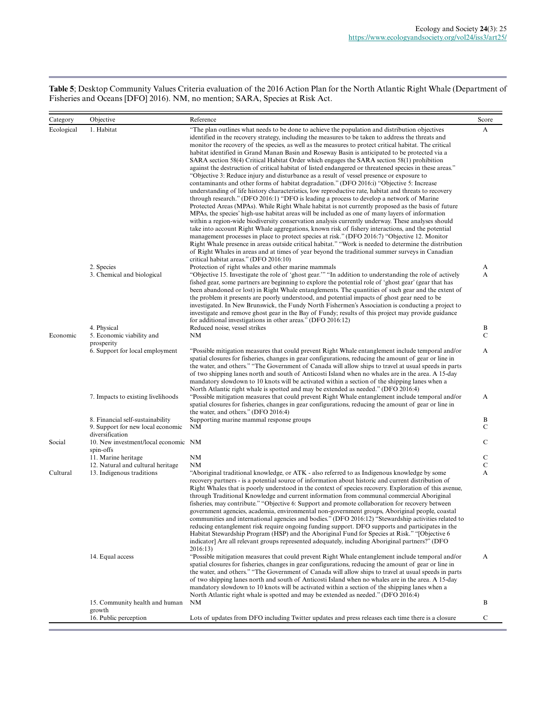**Table 5**; Desktop Community Values Criteria evaluation of the 2016 Action Plan for the North Atlantic Right Whale (Department of Fisheries and Oceans [DFO] 2016). NM, no mention; SARA, Species at Risk Act.

| Category   | Objective                                                                                | Reference                                                                                                                                                                                                                                                                                                                                                                                                                                                                                                                                                                                                                                                                                                                                                                                                                                                                                                                                                                                                                                                                                                                                                                                                                                                                                                                                                                                                                                                                                                                                                                                                                                                                                                                                                                                            | Score                       |
|------------|------------------------------------------------------------------------------------------|------------------------------------------------------------------------------------------------------------------------------------------------------------------------------------------------------------------------------------------------------------------------------------------------------------------------------------------------------------------------------------------------------------------------------------------------------------------------------------------------------------------------------------------------------------------------------------------------------------------------------------------------------------------------------------------------------------------------------------------------------------------------------------------------------------------------------------------------------------------------------------------------------------------------------------------------------------------------------------------------------------------------------------------------------------------------------------------------------------------------------------------------------------------------------------------------------------------------------------------------------------------------------------------------------------------------------------------------------------------------------------------------------------------------------------------------------------------------------------------------------------------------------------------------------------------------------------------------------------------------------------------------------------------------------------------------------------------------------------------------------------------------------------------------------|-----------------------------|
| Ecological | 1. Habitat                                                                               | "The plan outlines what needs to be done to achieve the population and distribution objectives<br>identified in the recovery strategy, including the measures to be taken to address the threats and<br>monitor the recovery of the species, as well as the measures to protect critical habitat. The critical<br>habitat identified in Grand Manan Basin and Roseway Basin is anticipated to be protected via a<br>SARA section 58(4) Critical Habitat Order which engages the SARA section 58(1) prohibition<br>against the destruction of critical habitat of listed endangered or threatened species in these areas."<br>"Objective 3: Reduce injury and disturbance as a result of vessel presence or exposure to<br>contaminants and other forms of habitat degradation." (DFO 2016:i) "Objective 5: Increase<br>understanding of life history characteristics, low reproductive rate, habitat and threats to recovery<br>through research." (DFO 2016:1) "DFO is leading a process to develop a network of Marine<br>Protected Areas (MPAs). While Right Whale habitat is not currently proposed as the basis of future<br>MPAs, the species' high-use habitat areas will be included as one of many layers of information<br>within a region-wide biodiversity conservation analysis currently underway. These analyses should<br>take into account Right Whale aggregations, known risk of fishery interactions, and the potential<br>management processes in place to protect species at risk." (DFO 2016:7) "Objective 12. Monitor<br>Right Whale presence in areas outside critical habitat." "Work is needed to determine the distribution<br>of Right Whales in areas and at times of year beyond the traditional summer surveys in Canadian<br>critical habitat areas." (DFO 2016:10) | A                           |
|            | 2. Species<br>3. Chemical and biological                                                 | Protection of right whales and other marine mammals<br>"Objective 15. Investigate the role of 'ghost gear." "In addition to understanding the role of actively<br>fished gear, some partners are beginning to explore the potential role of 'ghost gear' (gear that has<br>been abandoned or lost) in Right Whale entanglements. The quantities of such gear and the extent of<br>the problem it presents are poorly understood, and potential impacts of ghost gear need to be<br>investigated. In New Brunswick, the Fundy North Fishermen's Association is conducting a project to<br>investigate and remove ghost gear in the Bay of Fundy; results of this project may provide guidance<br>for additional investigations in other areas." (DFO 2016:12)                                                                                                                                                                                                                                                                                                                                                                                                                                                                                                                                                                                                                                                                                                                                                                                                                                                                                                                                                                                                                                         | A<br>A                      |
| Economic   | 4. Physical<br>5. Economic viability and                                                 | Reduced noise, vessel strikes<br>NΜ                                                                                                                                                                                                                                                                                                                                                                                                                                                                                                                                                                                                                                                                                                                                                                                                                                                                                                                                                                                                                                                                                                                                                                                                                                                                                                                                                                                                                                                                                                                                                                                                                                                                                                                                                                  | B<br>$\mathsf{C}$           |
|            | prosperity<br>6. Support for local employment                                            | "Possible mitigation measures that could prevent Right Whale entanglement include temporal and/or<br>spatial closures for fisheries, changes in gear configurations, reducing the amount of gear or line in<br>the water, and others." "The Government of Canada will allow ships to travel at usual speeds in parts<br>of two shipping lanes north and south of Anticosti Island when no whales are in the area. A 15-day<br>mandatory slowdown to 10 knots will be activated within a section of the shipping lanes when a<br>North Atlantic right whale is spotted and may be extended as needed." (DFO 2016:4)                                                                                                                                                                                                                                                                                                                                                                                                                                                                                                                                                                                                                                                                                                                                                                                                                                                                                                                                                                                                                                                                                                                                                                                   | A                           |
|            | 7. Impacts to existing livelihoods                                                       | "Possible mitigation measures that could prevent Right Whale entanglement include temporal and/or<br>spatial closures for fisheries, changes in gear configurations, reducing the amount of gear or line in<br>the water, and others." (DFO 2016:4)                                                                                                                                                                                                                                                                                                                                                                                                                                                                                                                                                                                                                                                                                                                                                                                                                                                                                                                                                                                                                                                                                                                                                                                                                                                                                                                                                                                                                                                                                                                                                  | A                           |
|            | 8. Financial self-sustainability<br>9. Support for new local economic<br>diversification | Supporting marine mammal response groups<br><b>NM</b>                                                                                                                                                                                                                                                                                                                                                                                                                                                                                                                                                                                                                                                                                                                                                                                                                                                                                                                                                                                                                                                                                                                                                                                                                                                                                                                                                                                                                                                                                                                                                                                                                                                                                                                                                | B<br>C                      |
| Social     | 10. New investment/local economic NM<br>spin-offs                                        |                                                                                                                                                                                                                                                                                                                                                                                                                                                                                                                                                                                                                                                                                                                                                                                                                                                                                                                                                                                                                                                                                                                                                                                                                                                                                                                                                                                                                                                                                                                                                                                                                                                                                                                                                                                                      | $\mathsf{C}$                |
|            | 11. Marine heritage<br>12. Natural and cultural heritage                                 | NM                                                                                                                                                                                                                                                                                                                                                                                                                                                                                                                                                                                                                                                                                                                                                                                                                                                                                                                                                                                                                                                                                                                                                                                                                                                                                                                                                                                                                                                                                                                                                                                                                                                                                                                                                                                                   | $\mathbf C$<br>$\mathsf{C}$ |
| Cultural   | 13. Indigenous traditions                                                                | NΜ<br>"Aboriginal traditional knowledge, or ATK - also referred to as Indigenous knowledge by some<br>recovery partners - is a potential source of information about historic and current distribution of<br>Right Whales that is poorly understood in the context of species recovery. Exploration of this avenue,<br>through Traditional Knowledge and current information from communal commercial Aboriginal<br>fisheries, may contribute." "Objective 6: Support and promote collaboration for recovery between<br>government agencies, academia, environmental non-government groups, Aboriginal people, coastal<br>communities and international agencies and bodies." (DFO 2016:12) "Stewardship activities related to<br>reducing entanglement risk require ongoing funding support. DFO supports and participates in the<br>Habitat Stewardship Program (HSP) and the Aboriginal Fund for Species at Risk." "[Objective 6]<br>indicator] Are all relevant groups represented adequately, including Aboriginal partners?" (DFO<br>2016:13)                                                                                                                                                                                                                                                                                                                                                                                                                                                                                                                                                                                                                                                                                                                                                  | A                           |
|            | 14. Equal access                                                                         | "Possible mitigation measures that could prevent Right Whale entanglement include temporal and/or<br>spatial closures for fisheries, changes in gear configurations, reducing the amount of gear or line in<br>the water, and others." "The Government of Canada will allow ships to travel at usual speeds in parts<br>of two shipping lanes north and south of Anticosti Island when no whales are in the area. A 15-day<br>mandatory slowdown to 10 knots will be activated within a section of the shipping lanes when a<br>North Atlantic right whale is spotted and may be extended as needed." (DFO 2016:4)                                                                                                                                                                                                                                                                                                                                                                                                                                                                                                                                                                                                                                                                                                                                                                                                                                                                                                                                                                                                                                                                                                                                                                                   | A                           |
|            | 15. Community health and human<br>growth                                                 | NM                                                                                                                                                                                                                                                                                                                                                                                                                                                                                                                                                                                                                                                                                                                                                                                                                                                                                                                                                                                                                                                                                                                                                                                                                                                                                                                                                                                                                                                                                                                                                                                                                                                                                                                                                                                                   | B                           |
|            | 16. Public perception                                                                    | Lots of updates from DFO including Twitter updates and press releases each time there is a closure                                                                                                                                                                                                                                                                                                                                                                                                                                                                                                                                                                                                                                                                                                                                                                                                                                                                                                                                                                                                                                                                                                                                                                                                                                                                                                                                                                                                                                                                                                                                                                                                                                                                                                   | $\mathbf C$                 |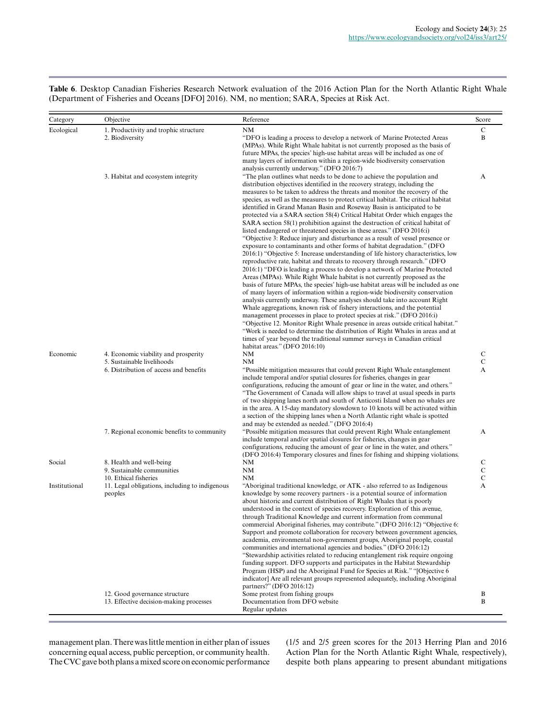**Table 6**. Desktop Canadian Fisheries Research Network evaluation of the 2016 Action Plan for the North Atlantic Right Whale (Department of Fisheries and Oceans [DFO] 2016). NM, no mention; SARA, Species at Risk Act.

| Category      | Objective                                                                                                           | Reference                                                                                                                                                                                                                                                                                                                                                                                                                                                                                                                                                                                                                                                                                                                                                                                                                                                                                                                                                                                                                                                                                                                                                                                                                                                                                                                                                                                                                                                                                                                                                                                                                                                                                                                                                                                       | Score                 |
|---------------|---------------------------------------------------------------------------------------------------------------------|-------------------------------------------------------------------------------------------------------------------------------------------------------------------------------------------------------------------------------------------------------------------------------------------------------------------------------------------------------------------------------------------------------------------------------------------------------------------------------------------------------------------------------------------------------------------------------------------------------------------------------------------------------------------------------------------------------------------------------------------------------------------------------------------------------------------------------------------------------------------------------------------------------------------------------------------------------------------------------------------------------------------------------------------------------------------------------------------------------------------------------------------------------------------------------------------------------------------------------------------------------------------------------------------------------------------------------------------------------------------------------------------------------------------------------------------------------------------------------------------------------------------------------------------------------------------------------------------------------------------------------------------------------------------------------------------------------------------------------------------------------------------------------------------------|-----------------------|
| Ecological    | 1. Productivity and trophic structure                                                                               | NM                                                                                                                                                                                                                                                                                                                                                                                                                                                                                                                                                                                                                                                                                                                                                                                                                                                                                                                                                                                                                                                                                                                                                                                                                                                                                                                                                                                                                                                                                                                                                                                                                                                                                                                                                                                              | $\mathsf{C}$          |
|               | 2. Biodiversity                                                                                                     | "DFO is leading a process to develop a network of Marine Protected Areas<br>(MPAs). While Right Whale habitat is not currently proposed as the basis of<br>future MPAs, the species' high-use habitat areas will be included as one of<br>many layers of information within a region-wide biodiversity conservation<br>analysis currently underway." (DFO 2016:7)                                                                                                                                                                                                                                                                                                                                                                                                                                                                                                                                                                                                                                                                                                                                                                                                                                                                                                                                                                                                                                                                                                                                                                                                                                                                                                                                                                                                                               | B                     |
|               | 3. Habitat and ecosystem integrity                                                                                  | "The plan outlines what needs to be done to achieve the population and<br>distribution objectives identified in the recovery strategy, including the<br>measures to be taken to address the threats and monitor the recovery of the<br>species, as well as the measures to protect critical habitat. The critical habitat<br>identified in Grand Manan Basin and Roseway Basin is anticipated to be<br>protected via a SARA section 58(4) Critical Habitat Order which engages the<br>SARA section 58(1) prohibition against the destruction of critical habitat of<br>listed endangered or threatened species in these areas." (DFO 2016:i)<br>"Objective 3: Reduce injury and disturbance as a result of vessel presence or<br>exposure to contaminants and other forms of habitat degradation." (DFO<br>2016:1) "Objective 5: Increase understanding of life history characteristics, low<br>reproductive rate, habitat and threats to recovery through research." (DFO<br>2016:1) "DFO is leading a process to develop a network of Marine Protected<br>Areas (MPAs). While Right Whale habitat is not currently proposed as the<br>basis of future MPAs, the species' high-use habitat areas will be included as one<br>of many layers of information within a region-wide biodiversity conservation<br>analysis currently underway. These analyses should take into account Right<br>Whale aggregations, known risk of fishery interactions, and the potential<br>management processes in place to protect species at risk." (DFO 2016:i)<br>"Objective 12. Monitor Right Whale presence in areas outside critical habitat."<br>"Work is needed to determine the distribution of Right Whales in areas and at<br>times of year beyond the traditional summer surveys in Canadian critical | A                     |
| Economic      | 4. Economic viability and prosperity                                                                                | habitat areas." (DFO 2016:10)<br>NM                                                                                                                                                                                                                                                                                                                                                                                                                                                                                                                                                                                                                                                                                                                                                                                                                                                                                                                                                                                                                                                                                                                                                                                                                                                                                                                                                                                                                                                                                                                                                                                                                                                                                                                                                             | C                     |
|               | 5. Sustainable livelihoods                                                                                          | <b>NM</b>                                                                                                                                                                                                                                                                                                                                                                                                                                                                                                                                                                                                                                                                                                                                                                                                                                                                                                                                                                                                                                                                                                                                                                                                                                                                                                                                                                                                                                                                                                                                                                                                                                                                                                                                                                                       | $\mathsf{C}$          |
|               | 6. Distribution of access and benefits                                                                              | "Possible mitigation measures that could prevent Right Whale entanglement<br>include temporal and/or spatial closures for fisheries, changes in gear<br>configurations, reducing the amount of gear or line in the water, and others."<br>"The Government of Canada will allow ships to travel at usual speeds in parts<br>of two shipping lanes north and south of Anticosti Island when no whales are<br>in the area. A 15-day mandatory slowdown to 10 knots will be activated within<br>a section of the shipping lanes when a North Atlantic right whale is spotted<br>and may be extended as needed." (DFO 2016:4)                                                                                                                                                                                                                                                                                                                                                                                                                                                                                                                                                                                                                                                                                                                                                                                                                                                                                                                                                                                                                                                                                                                                                                        | A                     |
|               | 7. Regional economic benefits to community                                                                          | "Possible mitigation measures that could prevent Right Whale entanglement<br>include temporal and/or spatial closures for fisheries, changes in gear<br>configurations, reducing the amount of gear or line in the water, and others."<br>(DFO 2016:4) Temporary closures and fines for fishing and shipping violations.                                                                                                                                                                                                                                                                                                                                                                                                                                                                                                                                                                                                                                                                                                                                                                                                                                                                                                                                                                                                                                                                                                                                                                                                                                                                                                                                                                                                                                                                        | A                     |
| Social        | 8. Health and well-being                                                                                            | NM                                                                                                                                                                                                                                                                                                                                                                                                                                                                                                                                                                                                                                                                                                                                                                                                                                                                                                                                                                                                                                                                                                                                                                                                                                                                                                                                                                                                                                                                                                                                                                                                                                                                                                                                                                                              |                       |
|               | 9. Sustainable communities                                                                                          | NM                                                                                                                                                                                                                                                                                                                                                                                                                                                                                                                                                                                                                                                                                                                                                                                                                                                                                                                                                                                                                                                                                                                                                                                                                                                                                                                                                                                                                                                                                                                                                                                                                                                                                                                                                                                              | $\rm\frac{C}{C}$      |
| Institutional | 10. Ethical fisheries<br>11. Legal obligations, including to indigenous<br>peoples<br>12. Good governance structure | NM<br>"Aboriginal traditional knowledge, or ATK - also referred to as Indigenous<br>knowledge by some recovery partners - is a potential source of information<br>about historic and current distribution of Right Whales that is poorly<br>understood in the context of species recovery. Exploration of this avenue,<br>through Traditional Knowledge and current information from communal<br>commercial Aboriginal fisheries, may contribute." (DFO 2016:12) "Objective 6:<br>Support and promote collaboration for recovery between government agencies,<br>academia, environmental non-government groups, Aboriginal people, coastal<br>communities and international agencies and bodies." (DFO 2016:12)<br>"Stewardship activities related to reducing entanglement risk require ongoing<br>funding support. DFO supports and participates in the Habitat Stewardship<br>Program (HSP) and the Aboriginal Fund for Species at Risk." "[Objective 6<br>indicator] Are all relevant groups represented adequately, including Aboriginal<br>partners?" (DFO 2016:12)<br>Some protest from fishing groups                                                                                                                                                                                                                                                                                                                                                                                                                                                                                                                                                                                                                                                                                   | $\mathsf C$<br>A<br>B |
|               | 13. Effective decision-making processes                                                                             | Documentation from DFO website                                                                                                                                                                                                                                                                                                                                                                                                                                                                                                                                                                                                                                                                                                                                                                                                                                                                                                                                                                                                                                                                                                                                                                                                                                                                                                                                                                                                                                                                                                                                                                                                                                                                                                                                                                  | B                     |
|               |                                                                                                                     | Regular updates                                                                                                                                                                                                                                                                                                                                                                                                                                                                                                                                                                                                                                                                                                                                                                                                                                                                                                                                                                                                                                                                                                                                                                                                                                                                                                                                                                                                                                                                                                                                                                                                                                                                                                                                                                                 |                       |

management plan. There was little mention in either plan of issues concerning equal access, public perception, or community health. The CVC gave both plans a mixed score on economic performance

(1/5 and 2/5 green scores for the 2013 Herring Plan and 2016 Action Plan for the North Atlantic Right Whale, respectively), despite both plans appearing to present abundant mitigations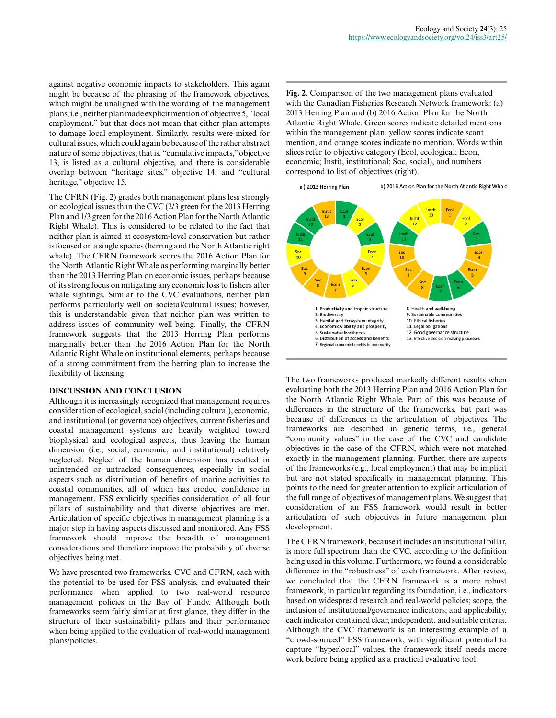against negative economic impacts to stakeholders. This again might be because of the phrasing of the framework objectives, which might be unaligned with the wording of the management plans, i.e., neither plan made explicit mention of objective 5, "local employment," but that does not mean that either plan attempts to damage local employment. Similarly, results were mixed for cultural issues, which could again be because of the rather abstract nature of some objectives; that is, "cumulative impacts," objective 13, is listed as a cultural objective, and there is considerable overlap between "heritage sites," objective 14, and "cultural heritage," objective 15.

The CFRN (Fig. 2) grades both management plans less strongly on ecological issues than the CVC (2/3 green for the 2013 Herring Plan and 1/3 green for the 2016 Action Plan for the North Atlantic Right Whale). This is considered to be related to the fact that neither plan is aimed at ecosystem-level conservation but rather is focused on a single species (herring and the North Atlantic right whale). The CFRN framework scores the 2016 Action Plan for the North Atlantic Right Whale as performing marginally better than the 2013 Herring Plan on economic issues, perhaps because of its strong focus on mitigating any economic loss to fishers after whale sightings. Similar to the CVC evaluations, neither plan performs particularly well on societal/cultural issues; however, this is understandable given that neither plan was written to address issues of community well-being. Finally, the CFRN framework suggests that the 2013 Herring Plan performs marginally better than the 2016 Action Plan for the North Atlantic Right Whale on institutional elements, perhaps because of a strong commitment from the herring plan to increase the flexibility of licensing.

# **DISCUSSION AND CONCLUSION**

Although it is increasingly recognized that management requires consideration of ecological, social (including cultural), economic, and institutional (or governance) objectives, current fisheries and coastal management systems are heavily weighted toward biophysical and ecological aspects, thus leaving the human dimension (i.e., social, economic, and institutional) relatively neglected. Neglect of the human dimension has resulted in unintended or untracked consequences, especially in social aspects such as distribution of benefits of marine activities to coastal communities, all of which has eroded confidence in management. FSS explicitly specifies consideration of all four pillars of sustainability and that diverse objectives are met. Articulation of specific objectives in management planning is a major step in having aspects discussed and monitored. Any FSS framework should improve the breadth of management considerations and therefore improve the probability of diverse objectives being met.

We have presented two frameworks, CVC and CFRN, each with the potential to be used for FSS analysis, and evaluated their performance when applied to two real-world resource management policies in the Bay of Fundy. Although both frameworks seem fairly similar at first glance, they differ in the structure of their sustainability pillars and their performance when being applied to the evaluation of real-world management plans/policies.

**Fig. 2**. Comparison of the two management plans evaluated with the Canadian Fisheries Research Network framework: (a) 2013 Herring Plan and (b) 2016 Action Plan for the North Atlantic Right Whale. Green scores indicate detailed mentions within the management plan, yellow scores indicate scant mention, and orange scores indicate no mention. Words within slices refer to objective category (Ecol, ecological; Econ, economic; Instit, institutional; Soc, social), and numbers correspond to list of objectives (right).



The two frameworks produced markedly different results when evaluating both the 2013 Herring Plan and 2016 Action Plan for the North Atlantic Right Whale. Part of this was because of differences in the structure of the frameworks, but part was because of differences in the articulation of objectives. The frameworks are described in generic terms, i.e., general "community values" in the case of the CVC and candidate objectives in the case of the CFRN, which were not matched exactly in the management planning. Further, there are aspects of the frameworks (e.g., local employment) that may be implicit but are not stated specifically in management planning. This points to the need for greater attention to explicit articulation of the full range of objectives of management plans. We suggest that consideration of an FSS framework would result in better articulation of such objectives in future management plan development.

The CFRN framework, because it includes an institutional pillar, is more full spectrum than the CVC, according to the definition being used in this volume. Furthermore, we found a considerable difference in the "robustness" of each framework. After review, we concluded that the CFRN framework is a more robust framework, in particular regarding its foundation, i.e., indicators based on widespread research and real-world policies; scope, the inclusion of institutional/governance indicators; and applicability, each indicator contained clear, independent, and suitable criteria. Although the CVC framework is an interesting example of a "crowd-sourced" FSS framework, with significant potential to capture "hyperlocal" values, the framework itself needs more work before being applied as a practical evaluative tool.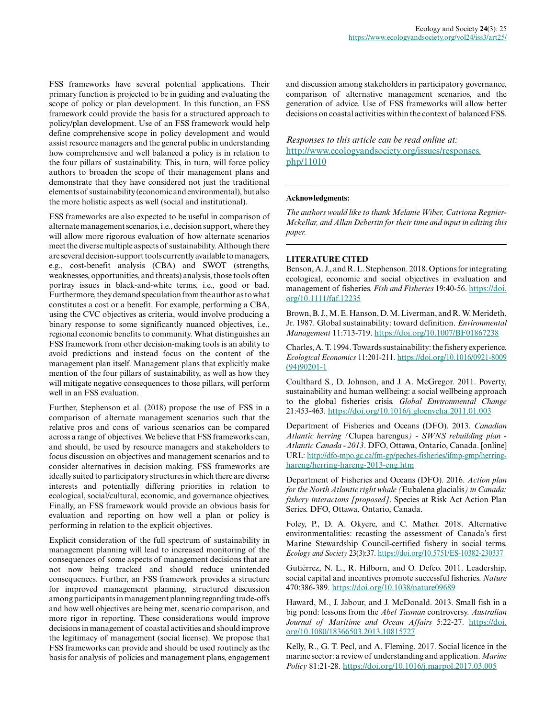FSS frameworks have several potential applications. Their primary function is projected to be in guiding and evaluating the scope of policy or plan development. In this function, an FSS framework could provide the basis for a structured approach to policy/plan development. Use of an FSS framework would help define comprehensive scope in policy development and would assist resource managers and the general public in understanding how comprehensive and well balanced a policy is in relation to the four pillars of sustainability. This, in turn, will force policy authors to broaden the scope of their management plans and demonstrate that they have considered not just the traditional elements of sustainability (economic and environmental), but also the more holistic aspects as well (social and institutional).

FSS frameworks are also expected to be useful in comparison of alternate management scenarios, i.e., decision support, where they will allow more rigorous evaluation of how alternate scenarios meet the diverse multiple aspects of sustainability. Although there are several decision-support tools currently available to managers, e.g., cost-benefit analysis (CBA) and SWOT (strengths, weaknesses, opportunities, and threats) analysis, those tools often portray issues in black-and-white terms, i.e., good or bad. Furthermore, they demand speculation from the author as to what constitutes a cost or a benefit. For example, performing a CBA, using the CVC objectives as criteria, would involve producing a binary response to some significantly nuanced objectives, i.e., regional economic benefits to community. What distinguishes an FSS framework from other decision-making tools is an ability to avoid predictions and instead focus on the content of the management plan itself. Management plans that explicitly make mention of the four pillars of sustainability, as well as how they will mitigate negative consequences to those pillars, will perform well in an FSS evaluation.

Further, Stephenson et al. (2018) propose the use of FSS in a comparison of alternate management scenarios such that the relative pros and cons of various scenarios can be compared across a range of objectives. We believe that FSS frameworks can, and should, be used by resource managers and stakeholders to focus discussion on objectives and management scenarios and to consider alternatives in decision making. FSS frameworks are ideally suited to participatory structures in which there are diverse interests and potentially differing priorities in relation to ecological, social/cultural, economic, and governance objectives. Finally, an FSS framework would provide an obvious basis for evaluation and reporting on how well a plan or policy is performing in relation to the explicit objectives.

Explicit consideration of the full spectrum of sustainability in management planning will lead to increased monitoring of the consequences of some aspects of management decisions that are not now being tracked and should reduce unintended consequences. Further, an FSS framework provides a structure for improved management planning, structured discussion among participants in management planning regarding trade-offs and how well objectives are being met, scenario comparison, and more rigor in reporting. These considerations would improve decisions in management of coastal activities and should improve the legitimacy of management (social license). We propose that FSS frameworks can provide and should be used routinely as the basis for analysis of policies and management plans, engagement and discussion among stakeholders in participatory governance, comparison of alternative management scenarios, and the generation of advice. Use of FSS frameworks will allow better decisions on coastal activities within the context of balanced FSS.

*Responses to this article can be read online at:* [http://www.ecologyandsociety.org/issues/responses.](http://www.ecologyandsociety.org/issues/responses.php/11010) [php/11010](http://www.ecologyandsociety.org/issues/responses.php/11010)

#### **Acknowledgments:**

*The authors would like to thank Melanie Wiber, Catriona Regnier-Mckellar, and Allan Debertin for their time and input in editing this paper.*

#### **LITERATURE CITED**

Benson, A. J., and R. L. Stephenson. 2018. Options for integrating ecological, economic and social objectives in evaluation and management of fisheries. *Fish and Fisheries* 19:40-56. [https://doi.](https://doi.org/10.1111/faf.12235) [org/10.1111/faf.12235](https://doi.org/10.1111/faf.12235)

Brown, B. J., M. E. Hanson, D. M. Liverman, and R. W. Merideth, Jr. 1987. Global sustainability: toward definition. *Environmental Management* 11:713-719.<https://doi.org/10.1007/BF01867238>

Charles, A. T. 1994. Towards sustainability: the fishery experience. *Ecological Economics* 11:201-211. [https://doi.org/10.1016/0921-8009](https://doi.org/10.1016/0921-8009(94)90201-1) [\(94\)90201-1](https://doi.org/10.1016/0921-8009(94)90201-1) 

Coulthard S., D. Johnson, and J. A. McGregor. 2011. Poverty, sustainability and human wellbeing: a social wellbeing approach to the global fisheries crisis. *Global Environmental Change* 21:453-463.<https://doi.org/10.1016/j.gloenvcha.2011.01.003>

Department of Fisheries and Oceans (DFO). 2013. *Canadian Atlantic herring (*Clupea harengus*) - SWNS rebuilding plan - Atlantic Canada - 2013*. DFO, Ottawa, Ontario, Canada. [online] URL: [http://dfo-mpo.gc.ca/fm-gp/peches-fisheries/ifmp-gmp/herring](http://dfo-mpo.gc.ca/fm-gp/peches-fisheries/ifmp-gmp/herring-hareng/herring-hareng-2013-eng.htm)[hareng/herring-hareng-2013-eng.htm](http://dfo-mpo.gc.ca/fm-gp/peches-fisheries/ifmp-gmp/herring-hareng/herring-hareng-2013-eng.htm) 

Department of Fisheries and Oceans (DFO). 2016. *Action plan for the North Atlantic right whale (*Eubalena glacialis*) in Canada: fishery interactons [proposed]*. Species at Risk Act Action Plan Series. DFO, Ottawa, Ontario, Canada.

Foley, P., D. A. Okyere, and C. Mather. 2018. Alternative environmentalities: recasting the assessment of Canada's first Marine Stewardship Council-certified fishery in social terms. *Ecology and Society* 23(3):37.<https://doi.org/10.5751/ES-10382-230337>

Gutiérrez, N. L., R. Hilborn, and O. Defeo. 2011. Leadership, social capital and incentives promote successful fisheries. *Nature* 470:386-389. <https://doi.org/10.1038/nature09689>

Haward, M., J. Jabour, and J. McDonald. 2013. Small fish in a big pond: lessons from the *Abel Tasman* controversy. *Australian Journal of Maritime and Ocean Affairs* 5:22-27. [https://doi.](https://doi.org/10.1080/18366503.2013.10815727) [org/10.1080/18366503.2013.10815727](https://doi.org/10.1080/18366503.2013.10815727)

Kelly, R., G. T. Pecl, and A. Fleming. 2017. Social licence in the marine sector: a review of understanding and application. *Marine Policy* 81:21-28.<https://doi.org/10.1016/j.marpol.2017.03.005>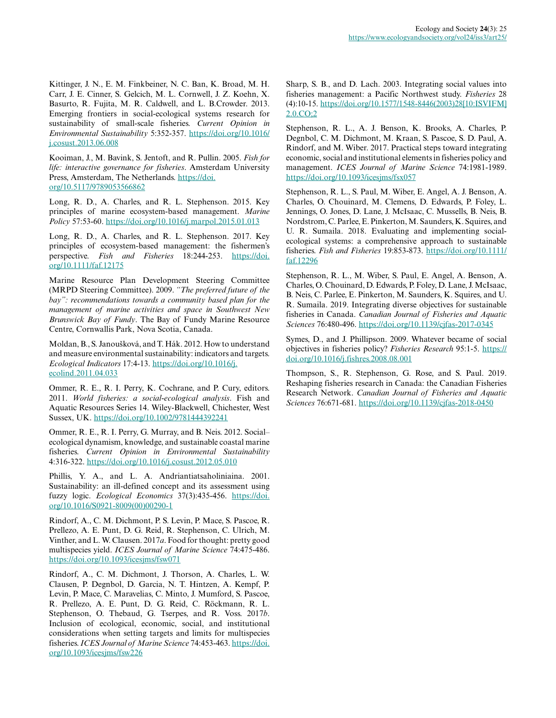Kittinger, J. N., E. M. Finkbeiner, N. C. Ban, K. Broad, M. H. Carr, J. E. Cinner, S. Gelcich, M. L. Cornwell, J. Z. Koehn, X. Basurto, R. Fujita, M. R. Caldwell, and L. B.Crowder. 2013. Emerging frontiers in social-ecological systems research for sustainability of small-scale fisheries. *Current Opinion in Environmental Sustainability* 5:352-357. [https://doi.org/10.1016/](https://doi.org/10.1016/j.cosust.2013.06.008) [j.cosust.2013.06.008](https://doi.org/10.1016/j.cosust.2013.06.008)

Kooiman, J., M. Bavink, S. Jentoft, and R. Pullin. 2005. *Fish for life: interactive governance for fisheries*. Amsterdam University Press, Amsterdam, The Netherlands. [https://doi.](https://doi.org/10.5117/9789053566862) [org/10.5117/9789053566862](https://doi.org/10.5117/9789053566862) 

Long, R. D., A. Charles, and R. L. Stephenson. 2015. Key principles of marine ecosystem-based management. *Marine Policy* 57:53-60.<https://doi.org/10.1016/j.marpol.2015.01.013>

Long, R. D., A. Charles, and R. L. Stephenson. 2017. Key principles of ecosystem-based management: the fishermen's perspective. *Fish and Fisheries* 18:244-253. [https://doi.](https://doi.org/10.1111/faf.12175) [org/10.1111/faf.12175](https://doi.org/10.1111/faf.12175)

Marine Resource Plan Development Steering Committee (MRPD Steering Committee). 2009. *"The preferred future of the bay": recommendations towards a community based plan for the management of marine activities and space in Southwest New Brunswick Bay of Fundy*. The Bay of Fundy Marine Resource Centre, Cornwallis Park, Nova Scotia, Canada.

Moldan, B., S. Janoušková, and T. Hák. 2012. How to understand and measure environmental sustainability: indicators and targets. *Ecological Indicators* 17:4-13. [https://doi.org/10.1016/j.](https://doi.org/10.1016/j.ecolind.2011.04.033) [ecolind.2011.04.033](https://doi.org/10.1016/j.ecolind.2011.04.033)

Ommer, R. E., R. I. Perry, K. Cochrane, and P. Cury, editors. 2011. *World fisheries: a social-ecological analysis*. Fish and Aquatic Resources Series 14. Wiley-Blackwell, Chichester, West Sussex, UK.<https://doi.org/10.1002/9781444392241>

Ommer, R. E., R. I. Perry, G. Murray, and B. Neis. 2012. Social– ecological dynamism, knowledge, and sustainable coastal marine fisheries. *Current Opinion in Environmental Sustainability* 4:316-322. <https://doi.org/10.1016/j.cosust.2012.05.010>

Phillis, Y. A., and L. A. Andriantiatsaholiniaina. 2001. Sustainability: an ill-defined concept and its assessment using fuzzy logic. *Ecological Economics* 37(3):435-456. [https://doi.](https://doi.org/10.1016/S0921-8009(00)00290-1) [org/10.1016/S0921-8009\(00\)00290-1](https://doi.org/10.1016/S0921-8009(00)00290-1)

Rindorf, A., C. M. Dichmont, P. S. Levin, P. Mace, S. Pascoe, R. Prellezo, A. E. Punt, D. G. Reid, R. Stephenson, C. Ulrich, M. Vinther, and L. W. Clausen. 2017*a*. Food for thought: pretty good multispecies yield. *ICES Journal of Marine Science* 74:475-486. <https://doi.org/10.1093/icesjms/fsw071>

Rindorf, A., C. M. Dichmont, J. Thorson, A. Charles, L. W. Clausen, P. Degnbol, D. Garcia, N. T. Hintzen, A. Kempf, P. Levin, P. Mace, C. Maravelias, C. Minto, J. Mumford, S. Pascoe, R. Prellezo, A. E. Punt, D. G. Reid, C. Röckmann, R. L. Stephenson, O. Thebaud, G. Tserpes, and R. Voss. 2017*b*. Inclusion of ecological, economic, social, and institutional considerations when setting targets and limits for multispecies fisheries. *ICES Journal of Marine Science* 74:453-463. [https://doi.](https://doi.org/10.1093/icesjms/fsw226) [org/10.1093/icesjms/fsw226](https://doi.org/10.1093/icesjms/fsw226) 

Sharp, S. B., and D. Lach. 2003. Integrating social values into fisheries management: a Pacific Northwest study. *Fisheries* 28 (4):10-15. [https://doi.org/10.1577/1548-8446\(2003\)28\[10:ISVIFM\]](https://doi.org/10.1577/1548-8446(2003)28[10:ISVIFM]2.0.CO;2) [2.0.CO;2](https://doi.org/10.1577/1548-8446(2003)28[10:ISVIFM]2.0.CO;2)

Stephenson, R. L., A. J. Benson, K. Brooks, A. Charles, P. Degnbol, C. M. Dichmont, M. Kraan, S. Pascoe, S. D. Paul, A. Rindorf, and M. Wiber. 2017. Practical steps toward integrating economic, social and institutional elements in fisheries policy and management. *ICES Journal of Marine Science* 74:1981-1989. <https://doi.org/10.1093/icesjms/fsx057>

Stephenson, R. L., S. Paul, M. Wiber, E. Angel, A. J. Benson, A. Charles, O. Chouinard, M. Clemens, D. Edwards, P. Foley, L. Jennings, O. Jones, D. Lane, J. McIsaac, C. Mussells, B. Neis, B. Nordstrom, C. Parlee, E. Pinkerton, M. Saunders, K. Squires, and U. R. Sumaila. 2018. Evaluating and implementing socialecological systems: a comprehensive approach to sustainable fisheries. *Fish and Fisheries* 19:853-873. [https://doi.org/10.1111/](https://doi.org/10.1111/faf.12296) [faf.12296](https://doi.org/10.1111/faf.12296) 

Stephenson, R. L., M. Wiber, S. Paul, E. Angel, A. Benson, A. Charles, O. Chouinard, D. Edwards, P. Foley, D. Lane, J. McIsaac, B. Neis, C. Parlee, E. Pinkerton, M. Saunders, K. Squires, and U. R. Sumaila. 2019. Integrating diverse objectives for sustainable fisheries in Canada. *Canadian Journal of Fisheries and Aquatic Sciences* 76:480-496. <https://doi.org/10.1139/cjfas-2017-0345>

Symes, D., and J. Phillipson. 2009. Whatever became of social objectives in fisheries policy? *Fisheries Research* 95:1-5. [https://](https://doi.org/10.1016/j.fishres.2008.08.001) [doi.org/10.1016/j.fishres.2008.08.001](https://doi.org/10.1016/j.fishres.2008.08.001) 

Thompson, S., R. Stephenson, G. Rose, and S. Paul. 2019. Reshaping fisheries research in Canada: the Canadian Fisheries Research Network. *Canadian Journal of Fisheries and Aquatic Sciences* 76:671-681. <https://doi.org/10.1139/cjfas-2018-0450>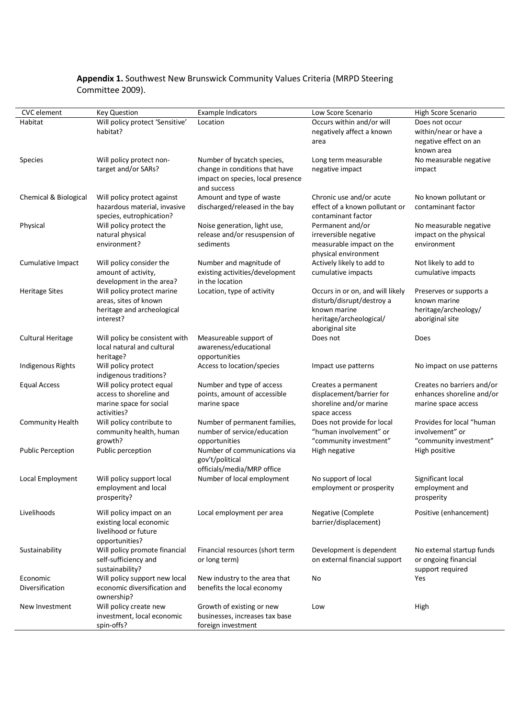# **Appendix 1.** Southwest New Brunswick Community Values Criteria (MRPD Steering Committee 2009).

| <b>CVC</b> element       | <b>Key Question</b>                                      | <b>Example Indicators</b>         | Low Score Scenario                                   | High Score Scenario                         |
|--------------------------|----------------------------------------------------------|-----------------------------------|------------------------------------------------------|---------------------------------------------|
| Habitat                  | Will policy protect 'Sensitive'                          | Location                          | Occurs within and/or will                            | Does not occur                              |
|                          | habitat?                                                 |                                   | negatively affect a known                            | within/near or have a                       |
|                          |                                                          |                                   | area                                                 | negative effect on an                       |
|                          |                                                          |                                   |                                                      | known area                                  |
| Species                  | Will policy protect non-                                 | Number of bycatch species,        | Long term measurable                                 | No measurable negative                      |
|                          | target and/or SARs?                                      | change in conditions that have    | negative impact                                      | impact                                      |
|                          |                                                          | impact on species, local presence |                                                      |                                             |
|                          |                                                          | and success                       |                                                      |                                             |
| Chemical & Biological    | Will policy protect against                              | Amount and type of waste          | Chronic use and/or acute                             | No known pollutant or<br>contaminant factor |
|                          | hazardous material, invasive<br>species, eutrophication? | discharged/released in the bay    | effect of a known pollutant or<br>contaminant factor |                                             |
| Physical                 | Will policy protect the                                  | Noise generation, light use,      | Permanent and/or                                     | No measurable negative                      |
|                          | natural physical                                         | release and/or resuspension of    | irreversible negative                                | impact on the physical                      |
|                          | environment?                                             | sediments                         | measurable impact on the                             | environment                                 |
|                          |                                                          |                                   | physical environment                                 |                                             |
| Cumulative Impact        | Will policy consider the                                 | Number and magnitude of           | Actively likely to add to                            | Not likely to add to                        |
|                          | amount of activity,                                      | existing activities/development   | cumulative impacts                                   | cumulative impacts                          |
|                          | development in the area?                                 | in the location                   |                                                      |                                             |
| <b>Heritage Sites</b>    | Will policy protect marine                               | Location, type of activity        | Occurs in or on, and will likely                     | Preserves or supports a                     |
|                          | areas, sites of known                                    |                                   | disturb/disrupt/destroy a                            | known marine                                |
|                          | heritage and archeological                               |                                   | known marine                                         | heritage/archeology/                        |
|                          | interest?                                                |                                   | heritage/archeological/                              | aboriginal site                             |
|                          |                                                          |                                   | aboriginal site                                      |                                             |
| <b>Cultural Heritage</b> | Will policy be consistent with                           | Measureable support of            | Does not                                             | Does                                        |
|                          | local natural and cultural                               | awareness/educational             |                                                      |                                             |
|                          | heritage?                                                | opportunities                     |                                                      |                                             |
| Indigenous Rights        | Will policy protect                                      | Access to location/species        | Impact use patterns                                  | No impact on use patterns                   |
|                          | indigenous traditions?<br>Will policy protect equal      | Number and type of access         |                                                      | Creates no barriers and/or                  |
| <b>Equal Access</b>      | access to shoreline and                                  | points, amount of accessible      | Creates a permanent<br>displacement/barrier for      | enhances shoreline and/or                   |
|                          | marine space for social                                  | marine space                      | shoreline and/or marine                              | marine space access                         |
|                          | activities?                                              |                                   | space access                                         |                                             |
| <b>Community Health</b>  | Will policy contribute to                                | Number of permanent families,     | Does not provide for local                           | Provides for local "human                   |
|                          | community health, human                                  | number of service/education       | "human involvement" or                               | involvement" or                             |
|                          | growth?                                                  | opportunities                     | "community investment"                               | "community investment"                      |
| <b>Public Perception</b> | Public perception                                        | Number of communications via      | High negative                                        | High positive                               |
|                          |                                                          | gov't/political                   |                                                      |                                             |
|                          |                                                          | officials/media/MRP office        |                                                      |                                             |
| Local Employment         | Will policy support local                                | Number of local employment        | No support of local                                  | Significant local                           |
|                          | employment and local                                     |                                   | employment or prosperity                             | employment and                              |
|                          | prosperity?                                              |                                   |                                                      | prosperity                                  |
| Livelihoods              | Will policy impact on an                                 | Local employment per area         | Negative (Complete                                   | Positive (enhancement)                      |
|                          | existing local economic                                  |                                   | barrier/displacement)                                |                                             |
|                          | livelihood or future                                     |                                   |                                                      |                                             |
|                          | opportunities?                                           |                                   |                                                      |                                             |
| Sustainability           | Will policy promote financial                            | Financial resources (short term   | Development is dependent                             | No external startup funds                   |
|                          | self-sufficiency and                                     | or long term)                     | on external financial support                        | or ongoing financial                        |
|                          | sustainability?                                          |                                   |                                                      | support required                            |
| Economic                 | Will policy support new local                            | New industry to the area that     | No                                                   | Yes                                         |
| Diversification          | economic diversification and                             | benefits the local economy        |                                                      |                                             |
|                          | ownership?                                               |                                   |                                                      |                                             |
| New Investment           | Will policy create new                                   | Growth of existing or new         | Low                                                  | High                                        |
|                          | investment, local economic                               | businesses, increases tax base    |                                                      |                                             |
|                          | spin-offs?                                               | foreign investment                |                                                      |                                             |